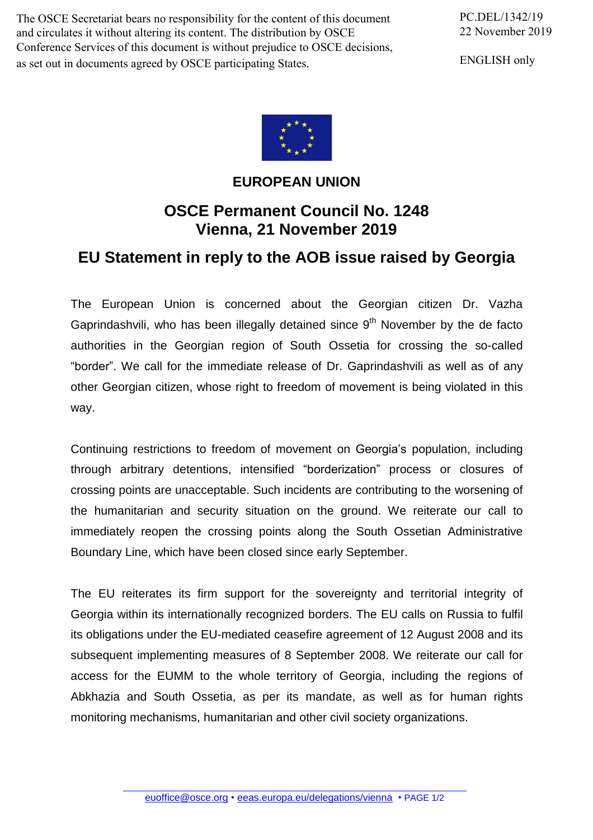The OSCE Secretariat bears no responsibility for the content of this document and circulates it without altering its content. The distribution by OSCE Conference Services of this document is without prejudice to OSCE decisions, as set out in documents agreed by OSCE participating States.

PC.DEL/1342/19 22 November 2019

ENGLISH only



## **EUROPEAN UNION**

## **OSCE Permanent Council No. 1248 Vienna, 21 November 2019**

## **EU Statement in reply to the AOB issue raised by Georgia**

The European Union is concerned about the Georgian citizen Dr. Vazha Gaprindashvili, who has been illegally detained since  $9<sup>th</sup>$  November by the de facto authorities in the Georgian region of South Ossetia for crossing the so-called "border". We call for the immediate release of Dr. Gaprindashvili as well as of any other Georgian citizen, whose right to freedom of movement is being violated in this way.

Continuing restrictions to freedom of movement on Georgia's population, including through arbitrary detentions, intensified "borderization" process or closures of crossing points are unacceptable. Such incidents are contributing to the worsening of the humanitarian and security situation on the ground. We reiterate our call to immediately reopen the crossing points along the South Ossetian Administrative Boundary Line, which have been closed since early September.

The EU reiterates its firm support for the sovereignty and territorial integrity of Georgia within its internationally recognized borders. The EU calls on Russia to fulfil its obligations under the EU-mediated ceasefire agreement of 12 August 2008 and its subsequent implementing measures of 8 September 2008. We reiterate our call for access for the EUMM to the whole territory of Georgia, including the regions of Abkhazia and South Ossetia, as per its mandate, as well as for human rights monitoring mechanisms, humanitarian and other civil society organizations.